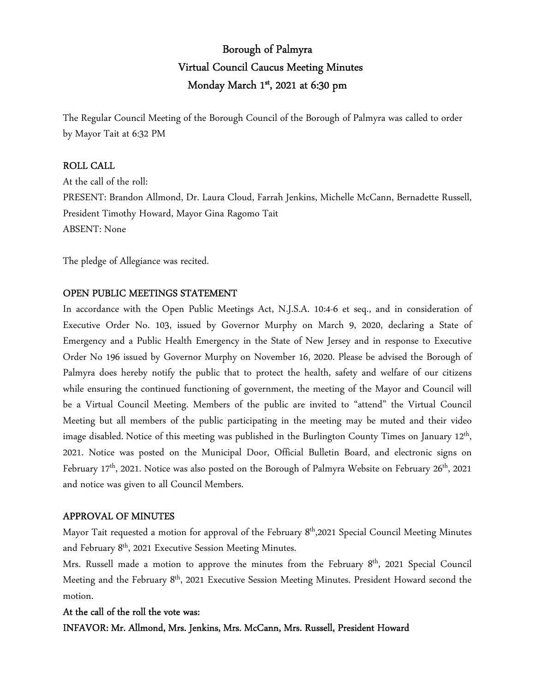# Borough of Palmyra Virtual Council Caucus Meeting Minutes Monday March 1st , 2021 at 6:30 pm

The Regular Council Meeting of the Borough Council of the Borough of Palmyra was called to order by Mayor Tait at 6:32 PM

### ROLL CALL

At the call of the roll: PRESENT: Brandon Allmond, Dr. Laura Cloud, Farrah Jenkins, Michelle McCann, Bernadette Russell, President Timothy Howard, Mayor Gina Ragomo Tait ABSENT: None

The pledge of Allegiance was recited.

### OPEN PUBLIC MEETINGS STATEMENT

In accordance with the Open Public Meetings Act, N.J.S.A. 10:4-6 et seq., and in consideration of Executive Order No. 103, issued by Governor Murphy on March 9, 2020, declaring a State of Emergency and a Public Health Emergency in the State of New Jersey and in response to Executive Order No 196 issued by Governor Murphy on November 16, 2020. Please be advised the Borough of Palmyra does hereby notify the public that to protect the health, safety and welfare of our citizens while ensuring the continued functioning of government, the meeting of the Mayor and Council will be a Virtual Council Meeting. Members of the public are invited to "attend" the Virtual Council Meeting but all members of the public participating in the meeting may be muted and their video image disabled. Notice of this meeting was published in the Burlington County Times on January 12<sup>th</sup>, 2021. Notice was posted on the Municipal Door, Official Bulletin Board, and electronic signs on February  $17<sup>th</sup>$ , 2021. Notice was also posted on the Borough of Palmyra Website on February 26<sup>th</sup>, 2021 and notice was given to all Council Members.

### APPROVAL OF MINUTES

Mayor Tait requested a motion for approval of the February 8<sup>th</sup>,2021 Special Council Meeting Minutes and February 8th, 2021 Executive Session Meeting Minutes.

Mrs. Russell made a motion to approve the minutes from the February 8<sup>th</sup>, 2021 Special Council Meeting and the February 8<sup>th</sup>, 2021 Executive Session Meeting Minutes. President Howard second the motion.

### At the call of the roll the vote was:

### INFAVOR: Mr. Allmond, Mrs. Jenkins, Mrs. McCann, Mrs. Russell, President Howard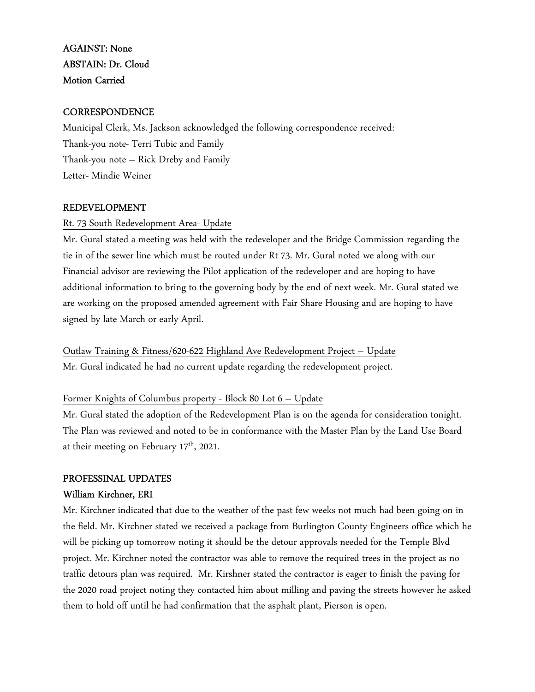# AGAINST: None ABSTAIN: Dr. Cloud Motion Carried

### **CORRESPONDENCE**

Municipal Clerk, Ms. Jackson acknowledged the following correspondence received: Thank-you note- Terri Tubic and Family Thank-you note – Rick Dreby and Family Letter- Mindie Weiner

### REDEVELOPMENT

### Rt. 73 South Redevelopment Area- Update

Mr. Gural stated a meeting was held with the redeveloper and the Bridge Commission regarding the tie in of the sewer line which must be routed under Rt 73. Mr. Gural noted we along with our Financial advisor are reviewing the Pilot application of the redeveloper and are hoping to have additional information to bring to the governing body by the end of next week. Mr. Gural stated we are working on the proposed amended agreement with Fair Share Housing and are hoping to have signed by late March or early April.

Outlaw Training & Fitness/620-622 Highland Ave Redevelopment Project – Update Mr. Gural indicated he had no current update regarding the redevelopment project.

### Former Knights of Columbus property - Block 80 Lot 6 – Update

Mr. Gural stated the adoption of the Redevelopment Plan is on the agenda for consideration tonight. The Plan was reviewed and noted to be in conformance with the Master Plan by the Land Use Board at their meeting on February 17<sup>th</sup>, 2021.

### PROFESSINAL UPDATES

### William Kirchner, ERI

Mr. Kirchner indicated that due to the weather of the past few weeks not much had been going on in the field. Mr. Kirchner stated we received a package from Burlington County Engineers office which he will be picking up tomorrow noting it should be the detour approvals needed for the Temple Blvd project. Mr. Kirchner noted the contractor was able to remove the required trees in the project as no traffic detours plan was required. Mr. Kirshner stated the contractor is eager to finish the paving for the 2020 road project noting they contacted him about milling and paving the streets however he asked them to hold off until he had confirmation that the asphalt plant, Pierson is open.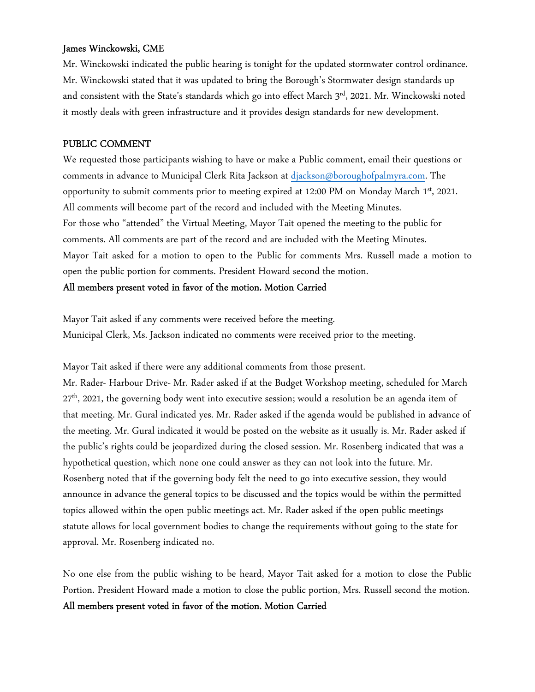### James Winckowski, CME

Mr. Winckowski indicated the public hearing is tonight for the updated stormwater control ordinance. Mr. Winckowski stated that it was updated to bring the Borough's Stormwater design standards up and consistent with the State's standards which go into effect March  $3<sup>rd</sup>$ , 2021. Mr. Winckowski noted it mostly deals with green infrastructure and it provides design standards for new development.

### PUBLIC COMMENT

We requested those participants wishing to have or make a Public comment, email their questions or comments in advance to Municipal Clerk Rita Jackson at djackson@boroughofpalmyra.com. The opportunity to submit comments prior to meeting expired at 12:00 PM on Monday March  $1<sup>st</sup>$ , 2021. All comments will become part of the record and included with the Meeting Minutes. For those who "attended" the Virtual Meeting, Mayor Tait opened the meeting to the public for comments. All comments are part of the record and are included with the Meeting Minutes. Mayor Tait asked for a motion to open to the Public for comments Mrs. Russell made a motion to open the public portion for comments. President Howard second the motion.

All members present voted in favor of the motion. Motion Carried

Mayor Tait asked if any comments were received before the meeting. Municipal Clerk, Ms. Jackson indicated no comments were received prior to the meeting.

Mayor Tait asked if there were any additional comments from those present.

Mr. Rader- Harbour Drive- Mr. Rader asked if at the Budget Workshop meeting, scheduled for March 27<sup>th</sup>, 2021, the governing body went into executive session; would a resolution be an agenda item of that meeting. Mr. Gural indicated yes. Mr. Rader asked if the agenda would be published in advance of the meeting. Mr. Gural indicated it would be posted on the website as it usually is. Mr. Rader asked if the public's rights could be jeopardized during the closed session. Mr. Rosenberg indicated that was a hypothetical question, which none one could answer as they can not look into the future. Mr. Rosenberg noted that if the governing body felt the need to go into executive session, they would announce in advance the general topics to be discussed and the topics would be within the permitted topics allowed within the open public meetings act. Mr. Rader asked if the open public meetings statute allows for local government bodies to change the requirements without going to the state for approval. Mr. Rosenberg indicated no.

No one else from the public wishing to be heard, Mayor Tait asked for a motion to close the Public Portion. President Howard made a motion to close the public portion, Mrs. Russell second the motion. All members present voted in favor of the motion. Motion Carried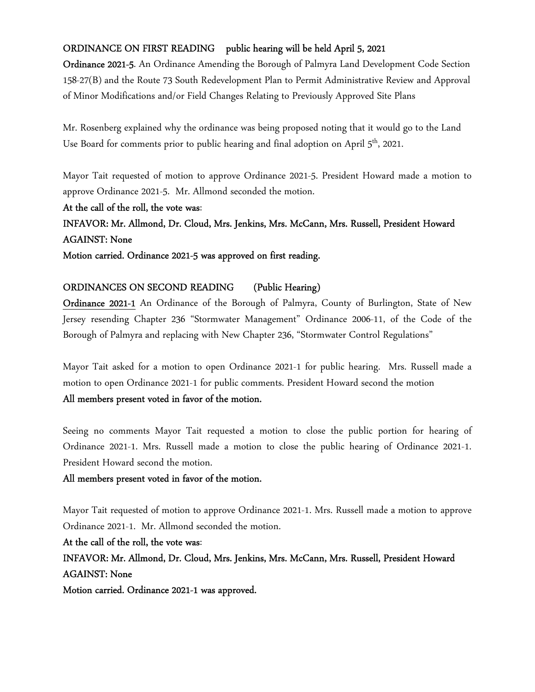### ORDINANCE ON FIRST READING public hearing will be held April 5, 2021

Ordinance 2021-5. An Ordinance Amending the Borough of Palmyra Land Development Code Section 158-27(B) and the Route 73 South Redevelopment Plan to Permit Administrative Review and Approval of Minor Modifications and/or Field Changes Relating to Previously Approved Site Plans

Mr. Rosenberg explained why the ordinance was being proposed noting that it would go to the Land Use Board for comments prior to public hearing and final adoption on April 5<sup>th</sup>, 2021.

Mayor Tait requested of motion to approve Ordinance 2021-5. President Howard made a motion to approve Ordinance 2021-5. Mr. Allmond seconded the motion.

At the call of the roll, the vote was:

INFAVOR: Mr. Allmond, Dr. Cloud, Mrs. Jenkins, Mrs. McCann, Mrs. Russell, President Howard AGAINST: None

Motion carried. Ordinance 2021-5 was approved on first reading.

### ORDINANCES ON SECOND READING (Public Hearing)

Ordinance 2021-1 An Ordinance of the Borough of Palmyra, County of Burlington, State of New Jersey resending Chapter 236 "Stormwater Management" Ordinance 2006-11, of the Code of the Borough of Palmyra and replacing with New Chapter 236, "Stormwater Control Regulations"

Mayor Tait asked for a motion to open Ordinance 2021-1 for public hearing. Mrs. Russell made a motion to open Ordinance 2021-1 for public comments. President Howard second the motion

### All members present voted in favor of the motion.

Seeing no comments Mayor Tait requested a motion to close the public portion for hearing of Ordinance 2021-1. Mrs. Russell made a motion to close the public hearing of Ordinance 2021-1. President Howard second the motion.

### All members present voted in favor of the motion.

Mayor Tait requested of motion to approve Ordinance 2021-1. Mrs. Russell made a motion to approve Ordinance 2021-1. Mr. Allmond seconded the motion.

At the call of the roll, the vote was:

INFAVOR: Mr. Allmond, Dr. Cloud, Mrs. Jenkins, Mrs. McCann, Mrs. Russell, President Howard AGAINST: None

Motion carried. Ordinance 2021-1 was approved.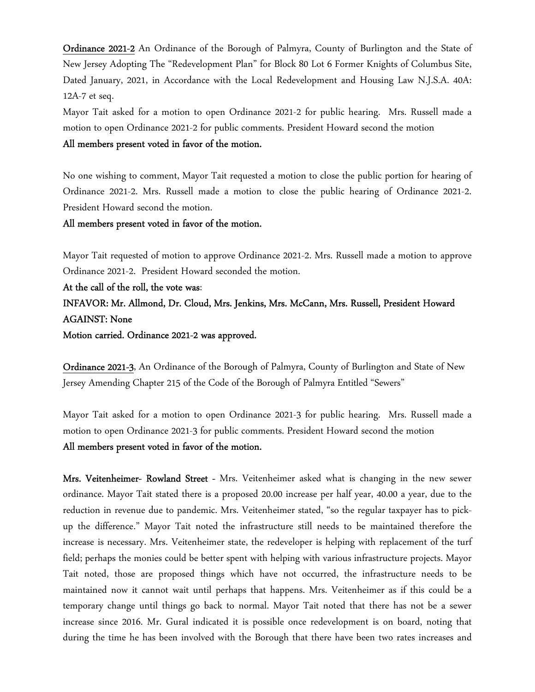Ordinance 2021-2 An Ordinance of the Borough of Palmyra, County of Burlington and the State of New Jersey Adopting The "Redevelopment Plan" for Block 80 Lot 6 Former Knights of Columbus Site, Dated January, 2021, in Accordance with the Local Redevelopment and Housing Law N.J.S.A. 40A: 12A-7 et seq.

Mayor Tait asked for a motion to open Ordinance 2021-2 for public hearing. Mrs. Russell made a motion to open Ordinance 2021-2 for public comments. President Howard second the motion All members present voted in favor of the motion.

No one wishing to comment, Mayor Tait requested a motion to close the public portion for hearing of Ordinance 2021-2. Mrs. Russell made a motion to close the public hearing of Ordinance 2021-2. President Howard second the motion.

All members present voted in favor of the motion.

Mayor Tait requested of motion to approve Ordinance 2021-2. Mrs. Russell made a motion to approve Ordinance 2021-2. President Howard seconded the motion.

At the call of the roll, the vote was: INFAVOR: Mr. Allmond, Dr. Cloud, Mrs. Jenkins, Mrs. McCann, Mrs. Russell, President Howard AGAINST: None Motion carried. Ordinance 2021-2 was approved.

Ordinance 2021-3, An Ordinance of the Borough of Palmyra, County of Burlington and State of New Jersey Amending Chapter 215 of the Code of the Borough of Palmyra Entitled "Sewers"

Mayor Tait asked for a motion to open Ordinance 2021-3 for public hearing. Mrs. Russell made a motion to open Ordinance 2021-3 for public comments. President Howard second the motion All members present voted in favor of the motion.

Mrs. Veitenheimer- Rowland Street - Mrs. Veitenheimer asked what is changing in the new sewer ordinance. Mayor Tait stated there is a proposed 20.00 increase per half year, 40.00 a year, due to the reduction in revenue due to pandemic. Mrs. Veitenheimer stated, "so the regular taxpayer has to pickup the difference." Mayor Tait noted the infrastructure still needs to be maintained therefore the increase is necessary. Mrs. Veitenheimer state, the redeveloper is helping with replacement of the turf field; perhaps the monies could be better spent with helping with various infrastructure projects. Mayor Tait noted, those are proposed things which have not occurred, the infrastructure needs to be maintained now it cannot wait until perhaps that happens. Mrs. Veitenheimer as if this could be a temporary change until things go back to normal. Mayor Tait noted that there has not be a sewer increase since 2016. Mr. Gural indicated it is possible once redevelopment is on board, noting that during the time he has been involved with the Borough that there have been two rates increases and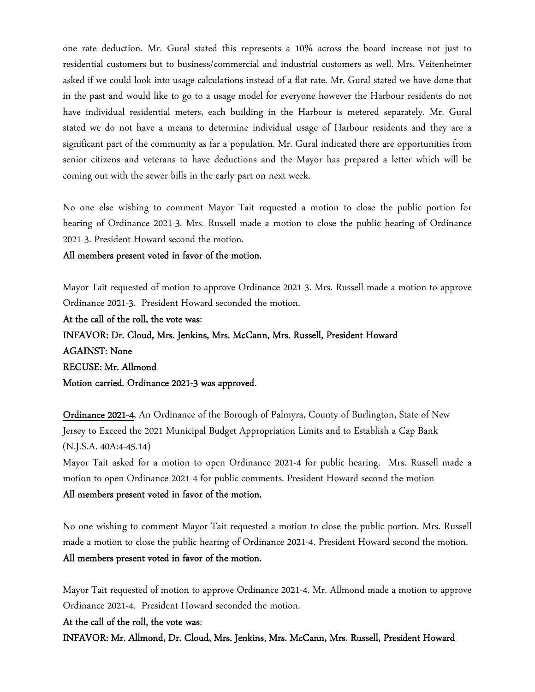one rate deduction. Mr. Gural stated this represents a 10% across the board increase not just to residential customers but to business/commercial and industrial customers as well. Mrs. Veitenheimer asked if we could look into usage calculations instead of a flat rate. Mr. Gural stated we have done that in the past and would like to go to a usage model for everyone however the Harbour residents do not have individual residential meters, each building in the Harbour is metered separately. Mr. Gural stated we do not have a means to determine individual usage of Harbour residents and they are a significant part of the community as far a population. Mr. Gural indicated there are opportunities from senior citizens and veterans to have deductions and the Mayor has prepared a letter which will be coming out with the sewer bills in the early part on next week.

No one else wishing to comment Mayor Tait requested a motion to close the public portion for hearing of Ordinance 2021-3. Mrs. Russell made a motion to close the public hearing of Ordinance 2021-3. President Howard second the motion.

All members present voted in favor of the motion.

Mayor Tait requested of motion to approve Ordinance 2021-3. Mrs. Russell made a motion to approve Ordinance 2021-3. President Howard seconded the motion.

At the call of the roll, the vote was: INFAVOR: Dr. Cloud, Mrs. Jenkins, Mrs. McCann, Mrs. Russell, President Howard AGAINST: None RECUSE: Mr. Allmond Motion carried. Ordinance 2021-3 was approved.

Ordinance 2021-4, An Ordinance of the Borough of Palmyra, County of Burlington, State of New Jersey to Exceed the 2021 Municipal Budget Appropriation Limits and to Establish a Cap Bank (N.J.S.A. 40A:4-45.14)

Mayor Tait asked for a motion to open Ordinance 2021-4 for public hearing. Mrs. Russell made a motion to open Ordinance 2021-4 for public comments. President Howard second the motion All members present voted in favor of the motion.

No one wishing to comment Mayor Tait requested a motion to close the public portion. Mrs. Russell made a motion to close the public hearing of Ordinance 2021-4. President Howard second the motion. All members present voted in favor of the motion.

Mayor Tait requested of motion to approve Ordinance 2021-4. Mr. Allmond made a motion to approve Ordinance 2021-4. President Howard seconded the motion.

### At the call of the roll, the vote was:

INFAVOR: Mr. Allmond, Dr. Cloud, Mrs. Jenkins, Mrs. McCann, Mrs. Russell, President Howard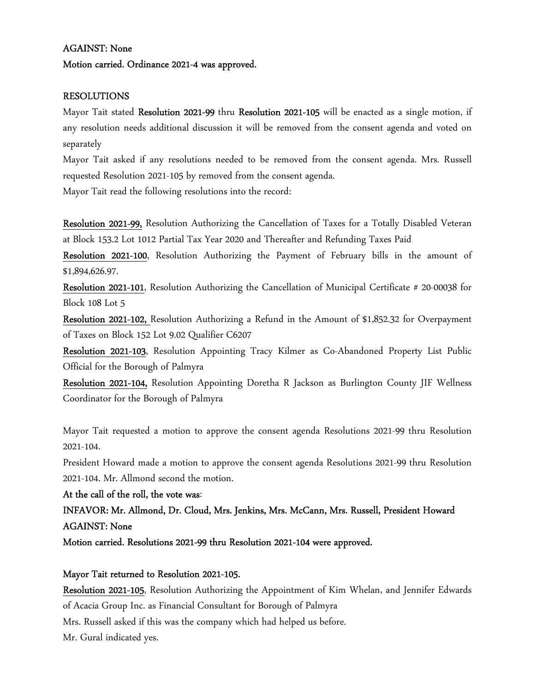### AGAINST: None

### Motion carried. Ordinance 2021-4 was approved.

### RESOLUTIONS

Mayor Tait stated Resolution 2021-99 thru Resolution 2021-105 will be enacted as a single motion, if any resolution needs additional discussion it will be removed from the consent agenda and voted on separately

Mayor Tait asked if any resolutions needed to be removed from the consent agenda. Mrs. Russell requested Resolution 2021-105 by removed from the consent agenda.

Mayor Tait read the following resolutions into the record:

Resolution 2021-99, Resolution Authorizing the Cancellation of Taxes for a Totally Disabled Veteran at Block 153.2 Lot 1012 Partial Tax Year 2020 and Thereafter and Refunding Taxes Paid

Resolution 2021-100, Resolution Authorizing the Payment of February bills in the amount of \$1,894,626.97.

Resolution 2021-101, Resolution Authorizing the Cancellation of Municipal Certificate # 20-00038 for Block 108 Lot 5

Resolution 2021-102, Resolution Authorizing a Refund in the Amount of \$1,852.32 for Overpayment of Taxes on Block 152 Lot 9.02 Qualifier C6207

Resolution 2021-103, Resolution Appointing Tracy Kilmer as Co-Abandoned Property List Public Official for the Borough of Palmyra

Resolution 2021-104, Resolution Appointing Doretha R Jackson as Burlington County JIF Wellness Coordinator for the Borough of Palmyra

Mayor Tait requested a motion to approve the consent agenda Resolutions 2021-99 thru Resolution 2021-104.

President Howard made a motion to approve the consent agenda Resolutions 2021-99 thru Resolution 2021-104. Mr. Allmond second the motion.

At the call of the roll, the vote was:

## INFAVOR: Mr. Allmond, Dr. Cloud, Mrs. Jenkins, Mrs. McCann, Mrs. Russell, President Howard AGAINST: None

Motion carried. Resolutions 2021-99 thru Resolution 2021-104 were approved.

### Mayor Tait returned to Resolution 2021-105.

Resolution 2021-105, Resolution Authorizing the Appointment of Kim Whelan, and Jennifer Edwards of Acacia Group Inc. as Financial Consultant for Borough of Palmyra Mrs. Russell asked if this was the company which had helped us before.

Mr. Gural indicated yes.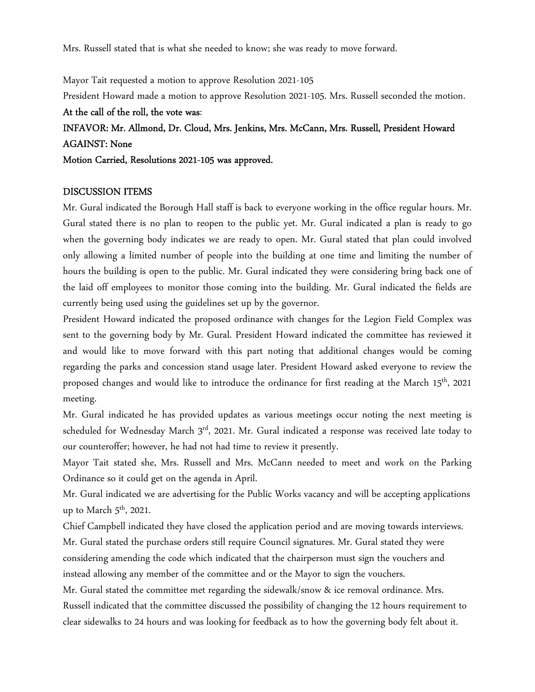Mrs. Russell stated that is what she needed to know; she was ready to move forward.

Mayor Tait requested a motion to approve Resolution 2021-105 President Howard made a motion to approve Resolution 2021-105. Mrs. Russell seconded the motion. At the call of the roll, the vote was: INFAVOR: Mr. Allmond, Dr. Cloud, Mrs. Jenkins, Mrs. McCann, Mrs. Russell, President Howard AGAINST: None

Motion Carried, Resolutions 2021-105 was approved.

### DISCUSSION ITEMS

Mr. Gural indicated the Borough Hall staff is back to everyone working in the office regular hours. Mr. Gural stated there is no plan to reopen to the public yet. Mr. Gural indicated a plan is ready to go when the governing body indicates we are ready to open. Mr. Gural stated that plan could involved only allowing a limited number of people into the building at one time and limiting the number of hours the building is open to the public. Mr. Gural indicated they were considering bring back one of the laid off employees to monitor those coming into the building. Mr. Gural indicated the fields are currently being used using the guidelines set up by the governor.

President Howard indicated the proposed ordinance with changes for the Legion Field Complex was sent to the governing body by Mr. Gural. President Howard indicated the committee has reviewed it and would like to move forward with this part noting that additional changes would be coming regarding the parks and concession stand usage later. President Howard asked everyone to review the proposed changes and would like to introduce the ordinance for first reading at the March 15<sup>th</sup>, 2021 meeting.

Mr. Gural indicated he has provided updates as various meetings occur noting the next meeting is scheduled for Wednesday March  $3^{rd}$ , 2021. Mr. Gural indicated a response was received late today to our counteroffer; however, he had not had time to review it presently.

Mayor Tait stated she, Mrs. Russell and Mrs. McCann needed to meet and work on the Parking Ordinance so it could get on the agenda in April.

Mr. Gural indicated we are advertising for the Public Works vacancy and will be accepting applications up to March  $5<sup>th</sup>$ , 2021.

Chief Campbell indicated they have closed the application period and are moving towards interviews. Mr. Gural stated the purchase orders still require Council signatures. Mr. Gural stated they were considering amending the code which indicated that the chairperson must sign the vouchers and instead allowing any member of the committee and or the Mayor to sign the vouchers.

Mr. Gural stated the committee met regarding the sidewalk/snow & ice removal ordinance. Mrs. Russell indicated that the committee discussed the possibility of changing the 12 hours requirement to clear sidewalks to 24 hours and was looking for feedback as to how the governing body felt about it.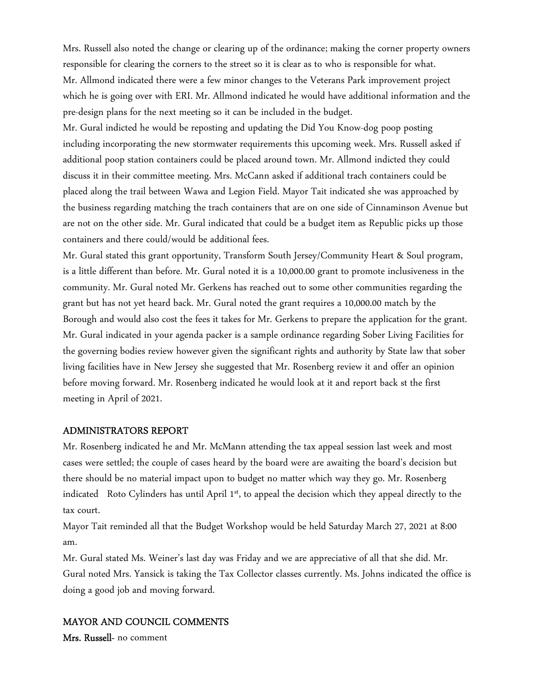Mrs. Russell also noted the change or clearing up of the ordinance; making the corner property owners responsible for clearing the corners to the street so it is clear as to who is responsible for what. Mr. Allmond indicated there were a few minor changes to the Veterans Park improvement project which he is going over with ERI. Mr. Allmond indicated he would have additional information and the pre-design plans for the next meeting so it can be included in the budget.

Mr. Gural indicted he would be reposting and updating the Did You Know-dog poop posting including incorporating the new stormwater requirements this upcoming week. Mrs. Russell asked if additional poop station containers could be placed around town. Mr. Allmond indicted they could discuss it in their committee meeting. Mrs. McCann asked if additional trach containers could be placed along the trail between Wawa and Legion Field. Mayor Tait indicated she was approached by the business regarding matching the trach containers that are on one side of Cinnaminson Avenue but are not on the other side. Mr. Gural indicated that could be a budget item as Republic picks up those containers and there could/would be additional fees.

Mr. Gural stated this grant opportunity, Transform South Jersey/Community Heart & Soul program, is a little different than before. Mr. Gural noted it is a 10,000.00 grant to promote inclusiveness in the community. Mr. Gural noted Mr. Gerkens has reached out to some other communities regarding the grant but has not yet heard back. Mr. Gural noted the grant requires a 10,000.00 match by the Borough and would also cost the fees it takes for Mr. Gerkens to prepare the application for the grant. Mr. Gural indicated in your agenda packer is a sample ordinance regarding Sober Living Facilities for the governing bodies review however given the significant rights and authority by State law that sober living facilities have in New Jersey she suggested that Mr. Rosenberg review it and offer an opinion before moving forward. Mr. Rosenberg indicated he would look at it and report back st the first meeting in April of 2021.

#### ADMINISTRATORS REPORT

Mr. Rosenberg indicated he and Mr. McMann attending the tax appeal session last week and most cases were settled; the couple of cases heard by the board were are awaiting the board's decision but there should be no material impact upon to budget no matter which way they go. Mr. Rosenberg indicated Roto Cylinders has until April 1<sup>st</sup>, to appeal the decision which they appeal directly to the tax court.

Mayor Tait reminded all that the Budget Workshop would be held Saturday March 27, 2021 at 8:00 am.

Mr. Gural stated Ms. Weiner's last day was Friday and we are appreciative of all that she did. Mr. Gural noted Mrs. Yansick is taking the Tax Collector classes currently. Ms. Johns indicated the office is doing a good job and moving forward.

#### MAYOR AND COUNCIL COMMENTS

Mrs. Russell- no comment